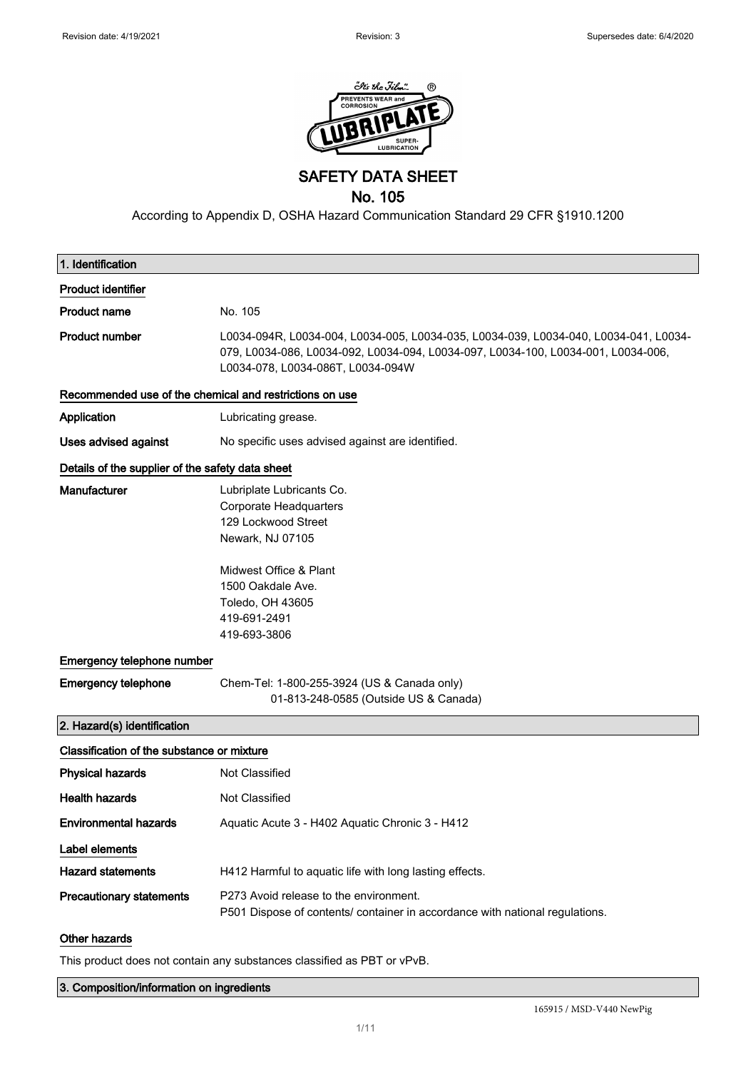

SAFETY DATA SHEET

# No. 105

According to Appendix D, OSHA Hazard Communication Standard 29 CFR §1910.1200

| 1. Identification                                       |                                                                                                                                                                                                                |
|---------------------------------------------------------|----------------------------------------------------------------------------------------------------------------------------------------------------------------------------------------------------------------|
| <b>Product identifier</b>                               |                                                                                                                                                                                                                |
| <b>Product name</b>                                     | No. 105                                                                                                                                                                                                        |
| <b>Product number</b>                                   | L0034-094R, L0034-004, L0034-005, L0034-035, L0034-039, L0034-040, L0034-041, L0034-<br>079, L0034-086, L0034-092, L0034-094, L0034-097, L0034-100, L0034-001, L0034-006,<br>L0034-078, L0034-086T, L0034-094W |
| Recommended use of the chemical and restrictions on use |                                                                                                                                                                                                                |
| Application                                             | Lubricating grease.                                                                                                                                                                                            |
| <b>Uses advised against</b>                             | No specific uses advised against are identified.                                                                                                                                                               |
| Details of the supplier of the safety data sheet        |                                                                                                                                                                                                                |
| <b>Manufacturer</b>                                     | Lubriplate Lubricants Co.<br>Corporate Headquarters<br>129 Lockwood Street<br>Newark, NJ 07105<br>Midwest Office & Plant<br>1500 Oakdale Ave.<br>Toledo, OH 43605                                              |
|                                                         | 419-691-2491<br>419-693-3806                                                                                                                                                                                   |
| Emergency telephone number                              |                                                                                                                                                                                                                |
| <b>Emergency telephone</b>                              | Chem-Tel: 1-800-255-3924 (US & Canada only)<br>01-813-248-0585 (Outside US & Canada)                                                                                                                           |
| 2. Hazard(s) identification                             |                                                                                                                                                                                                                |
| Classification of the substance or mixture              |                                                                                                                                                                                                                |
| <b>Physical hazards</b>                                 | Not Classified                                                                                                                                                                                                 |
| <b>Health hazards</b>                                   | Not Classified                                                                                                                                                                                                 |
| <b>Environmental hazards</b>                            | Aquatic Acute 3 - H402 Aquatic Chronic 3 - H412                                                                                                                                                                |
| Label elements                                          |                                                                                                                                                                                                                |
| <b>Hazard statements</b>                                | H412 Harmful to aquatic life with long lasting effects.                                                                                                                                                        |
| <b>Precautionary statements</b>                         | P273 Avoid release to the environment.<br>P501 Dispose of contents/ container in accordance with national regulations.                                                                                         |
| Other hazards                                           |                                                                                                                                                                                                                |

This product does not contain any substances classified as PBT or vPvB.

3. Composition/information on ingredients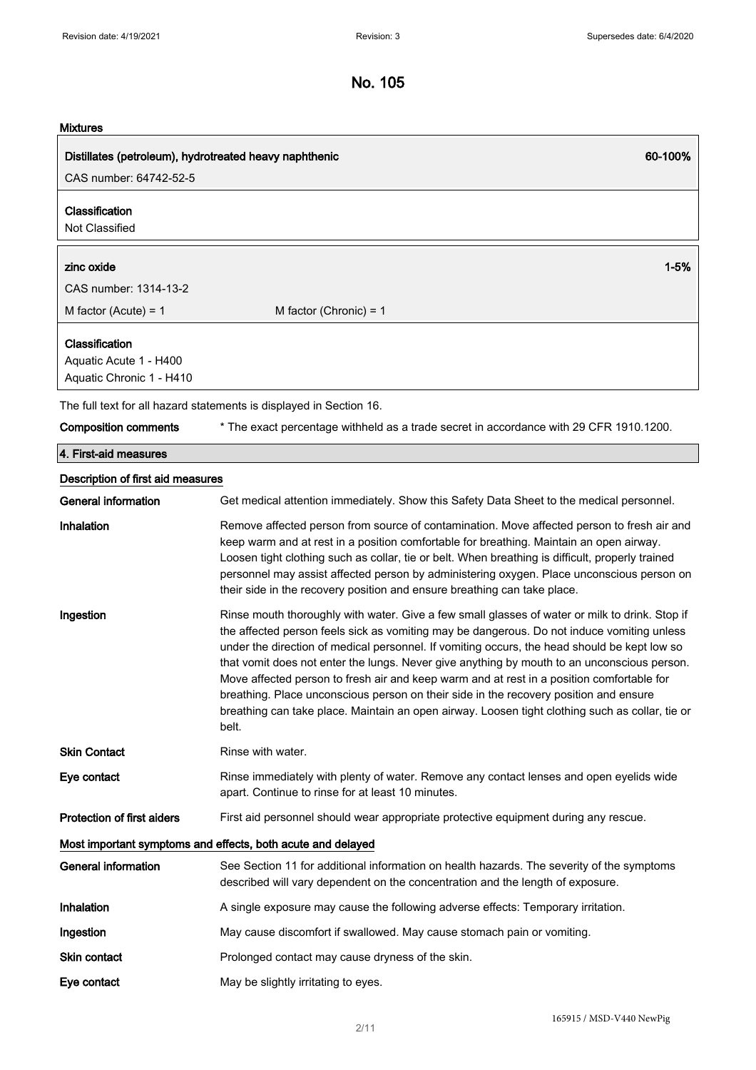### **Mixtures**

| viiviai eg                                                           |                                                                                                                                                                                                                                                                                                                                                                                                                                                                                                                                                                                                                                                                                               |  |
|----------------------------------------------------------------------|-----------------------------------------------------------------------------------------------------------------------------------------------------------------------------------------------------------------------------------------------------------------------------------------------------------------------------------------------------------------------------------------------------------------------------------------------------------------------------------------------------------------------------------------------------------------------------------------------------------------------------------------------------------------------------------------------|--|
| Distillates (petroleum), hydrotreated heavy naphthenic               | 60-100%                                                                                                                                                                                                                                                                                                                                                                                                                                                                                                                                                                                                                                                                                       |  |
| CAS number: 64742-52-5                                               |                                                                                                                                                                                                                                                                                                                                                                                                                                                                                                                                                                                                                                                                                               |  |
| Classification<br>Not Classified                                     |                                                                                                                                                                                                                                                                                                                                                                                                                                                                                                                                                                                                                                                                                               |  |
| zinc oxide                                                           | $1 - 5%$                                                                                                                                                                                                                                                                                                                                                                                                                                                                                                                                                                                                                                                                                      |  |
| CAS number: 1314-13-2                                                |                                                                                                                                                                                                                                                                                                                                                                                                                                                                                                                                                                                                                                                                                               |  |
| M factor (Acute) = $1$                                               | M factor (Chronic) = $1$                                                                                                                                                                                                                                                                                                                                                                                                                                                                                                                                                                                                                                                                      |  |
| Classification<br>Aquatic Acute 1 - H400<br>Aquatic Chronic 1 - H410 |                                                                                                                                                                                                                                                                                                                                                                                                                                                                                                                                                                                                                                                                                               |  |
|                                                                      | The full text for all hazard statements is displayed in Section 16.                                                                                                                                                                                                                                                                                                                                                                                                                                                                                                                                                                                                                           |  |
| <b>Composition comments</b>                                          | * The exact percentage withheld as a trade secret in accordance with 29 CFR 1910.1200.                                                                                                                                                                                                                                                                                                                                                                                                                                                                                                                                                                                                        |  |
| 4. First-aid measures                                                |                                                                                                                                                                                                                                                                                                                                                                                                                                                                                                                                                                                                                                                                                               |  |
| Description of first aid measures                                    |                                                                                                                                                                                                                                                                                                                                                                                                                                                                                                                                                                                                                                                                                               |  |
| General information                                                  | Get medical attention immediately. Show this Safety Data Sheet to the medical personnel.                                                                                                                                                                                                                                                                                                                                                                                                                                                                                                                                                                                                      |  |
| <b>Inhalation</b>                                                    | Remove affected person from source of contamination. Move affected person to fresh air and<br>keep warm and at rest in a position comfortable for breathing. Maintain an open airway.<br>Loosen tight clothing such as collar, tie or belt. When breathing is difficult, properly trained<br>personnel may assist affected person by administering oxygen. Place unconscious person on<br>their side in the recovery position and ensure breathing can take place.                                                                                                                                                                                                                            |  |
| Ingestion                                                            | Rinse mouth thoroughly with water. Give a few small glasses of water or milk to drink. Stop if<br>the affected person feels sick as vomiting may be dangerous. Do not induce vomiting unless<br>under the direction of medical personnel. If vomiting occurs, the head should be kept low so<br>that vomit does not enter the lungs. Never give anything by mouth to an unconscious person.<br>Move affected person to fresh air and keep warm and at rest in a position comfortable for<br>breathing. Place unconscious person on their side in the recovery position and ensure<br>breathing can take place. Maintain an open airway. Loosen tight clothing such as collar, tie or<br>belt. |  |
| <b>Skin Contact</b>                                                  | Rinse with water.                                                                                                                                                                                                                                                                                                                                                                                                                                                                                                                                                                                                                                                                             |  |
| Eye contact                                                          | Rinse immediately with plenty of water. Remove any contact lenses and open eyelids wide                                                                                                                                                                                                                                                                                                                                                                                                                                                                                                                                                                                                       |  |

Protection of first aiders First aid personnel should wear appropriate protective equipment during any rescue.

Most important symptoms and effects, both acute and delayed

| General information | See Section 11 for additional information on health hazards. The severity of the symptoms<br>described will vary dependent on the concentration and the length of exposure. |
|---------------------|-----------------------------------------------------------------------------------------------------------------------------------------------------------------------------|
| <b>Inhalation</b>   | A single exposure may cause the following adverse effects: Temporary irritation.                                                                                            |
| Ingestion           | May cause discomfort if swallowed. May cause stomach pain or vomiting.                                                                                                      |
| Skin contact        | Prolonged contact may cause dryness of the skin.                                                                                                                            |
| Eye contact         | May be slightly irritating to eyes.                                                                                                                                         |

apart. Continue to rinse for at least 10 minutes.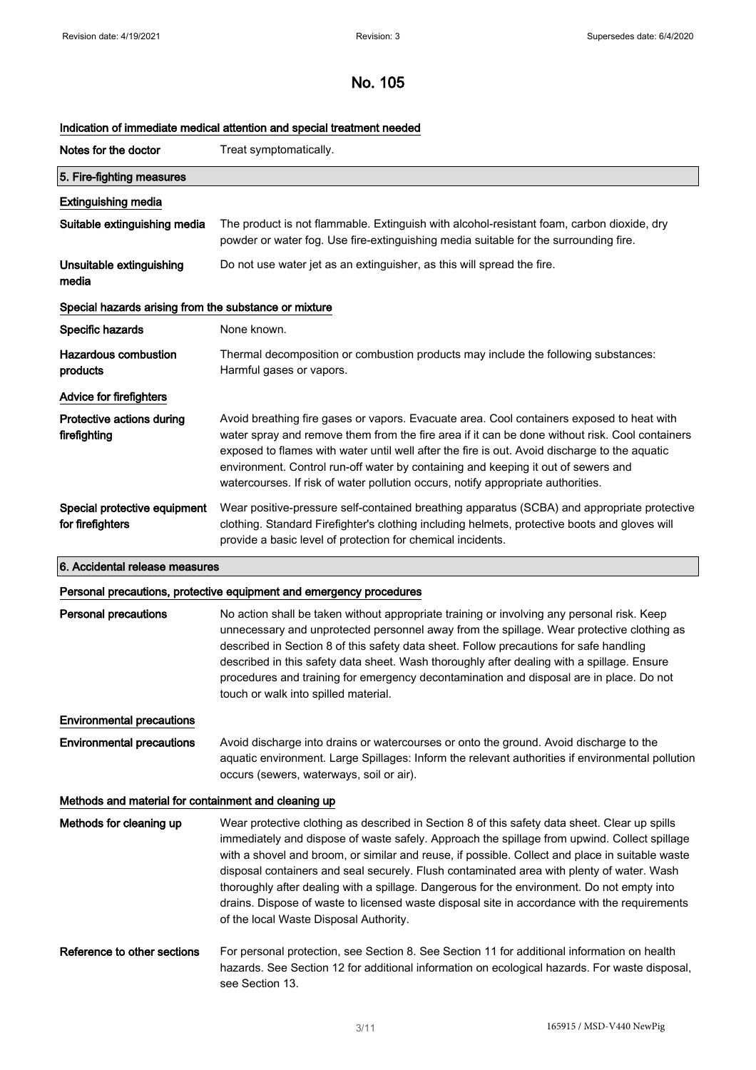# Indication of immediate medical attention and special treatment needed

| Notes for the doctor                                  | Treat symptomatically.                                                                                                                                                                                                                                                                                                                                                                                                                                                |
|-------------------------------------------------------|-----------------------------------------------------------------------------------------------------------------------------------------------------------------------------------------------------------------------------------------------------------------------------------------------------------------------------------------------------------------------------------------------------------------------------------------------------------------------|
| 5. Fire-fighting measures                             |                                                                                                                                                                                                                                                                                                                                                                                                                                                                       |
| <b>Extinguishing media</b>                            |                                                                                                                                                                                                                                                                                                                                                                                                                                                                       |
| Suitable extinguishing media                          | The product is not flammable. Extinguish with alcohol-resistant foam, carbon dioxide, dry<br>powder or water fog. Use fire-extinguishing media suitable for the surrounding fire.                                                                                                                                                                                                                                                                                     |
| Unsuitable extinguishing<br>media                     | Do not use water jet as an extinguisher, as this will spread the fire.                                                                                                                                                                                                                                                                                                                                                                                                |
| Special hazards arising from the substance or mixture |                                                                                                                                                                                                                                                                                                                                                                                                                                                                       |
| Specific hazards                                      | None known.                                                                                                                                                                                                                                                                                                                                                                                                                                                           |
| Hazardous combustion<br>products                      | Thermal decomposition or combustion products may include the following substances:<br>Harmful gases or vapors.                                                                                                                                                                                                                                                                                                                                                        |
| <b>Advice for firefighters</b>                        |                                                                                                                                                                                                                                                                                                                                                                                                                                                                       |
| Protective actions during<br>firefighting             | Avoid breathing fire gases or vapors. Evacuate area. Cool containers exposed to heat with<br>water spray and remove them from the fire area if it can be done without risk. Cool containers<br>exposed to flames with water until well after the fire is out. Avoid discharge to the aquatic<br>environment. Control run-off water by containing and keeping it out of sewers and<br>watercourses. If risk of water pollution occurs, notify appropriate authorities. |
| Special protective equipment<br>for firefighters      | Wear positive-pressure self-contained breathing apparatus (SCBA) and appropriate protective<br>clothing. Standard Firefighter's clothing including helmets, protective boots and gloves will<br>provide a basic level of protection for chemical incidents.                                                                                                                                                                                                           |

### 6. Accidental release measures

## Personal precautions, protective equipment and emergency procedures

| Personal precautions                                 | No action shall be taken without appropriate training or involving any personal risk. Keep<br>unnecessary and unprotected personnel away from the spillage. Wear protective clothing as<br>described in Section 8 of this safety data sheet. Follow precautions for safe handling<br>described in this safety data sheet. Wash thoroughly after dealing with a spillage. Ensure<br>procedures and training for emergency decontamination and disposal are in place. Do not<br>touch or walk into spilled material.                                                                                                                    |
|------------------------------------------------------|---------------------------------------------------------------------------------------------------------------------------------------------------------------------------------------------------------------------------------------------------------------------------------------------------------------------------------------------------------------------------------------------------------------------------------------------------------------------------------------------------------------------------------------------------------------------------------------------------------------------------------------|
| <b>Environmental precautions</b>                     |                                                                                                                                                                                                                                                                                                                                                                                                                                                                                                                                                                                                                                       |
| <b>Environmental precautions</b>                     | Avoid discharge into drains or watercourses or onto the ground. Avoid discharge to the<br>aquatic environment. Large Spillages: Inform the relevant authorities if environmental pollution<br>occurs (sewers, waterways, soil or air).                                                                                                                                                                                                                                                                                                                                                                                                |
| Methods and material for containment and cleaning up |                                                                                                                                                                                                                                                                                                                                                                                                                                                                                                                                                                                                                                       |
| Methods for cleaning up                              | Wear protective clothing as described in Section 8 of this safety data sheet. Clear up spills<br>immediately and dispose of waste safely. Approach the spillage from upwind. Collect spillage<br>with a shovel and broom, or similar and reuse, if possible. Collect and place in suitable waste<br>disposal containers and seal securely. Flush contaminated area with plenty of water. Wash<br>thoroughly after dealing with a spillage. Dangerous for the environment. Do not empty into<br>drains. Dispose of waste to licensed waste disposal site in accordance with the requirements<br>of the local Waste Disposal Authority. |
| Reference to other sections                          | For personal protection, see Section 8. See Section 11 for additional information on health<br>hazards. See Section 12 for additional information on ecological hazards. For waste disposal,<br>see Section 13.                                                                                                                                                                                                                                                                                                                                                                                                                       |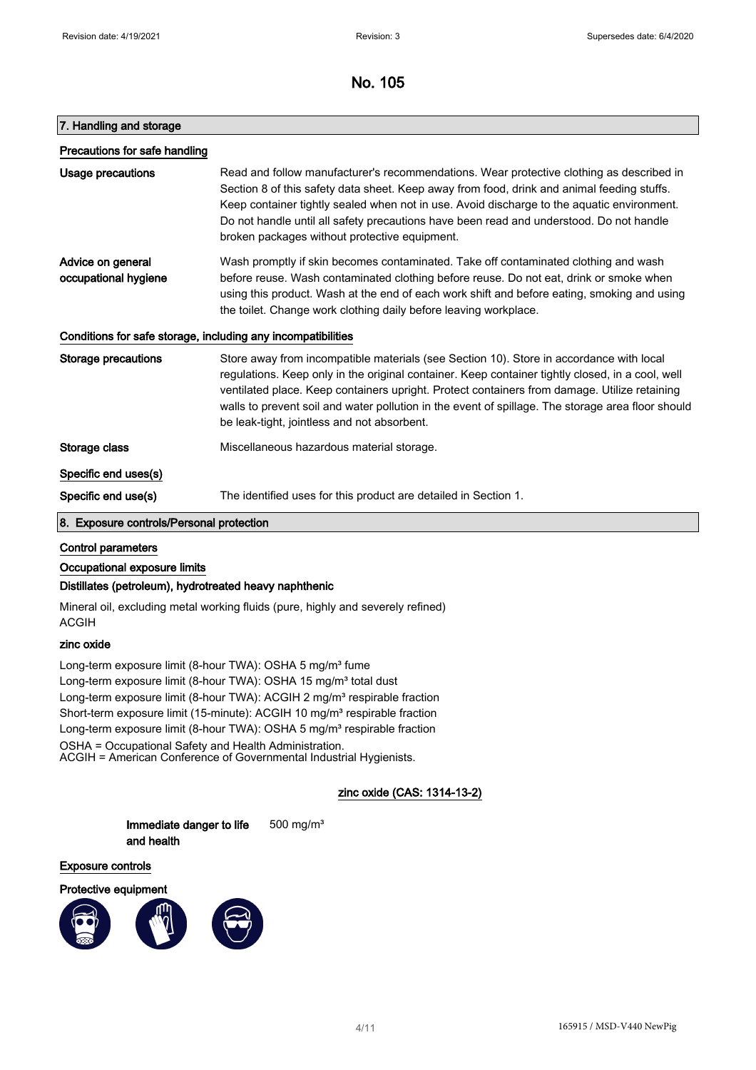### 7. Handling and storage

| Precautions for safe handling             |                                                                                                                                                                                                                                                                                                                                                                                                                                                 |
|-------------------------------------------|-------------------------------------------------------------------------------------------------------------------------------------------------------------------------------------------------------------------------------------------------------------------------------------------------------------------------------------------------------------------------------------------------------------------------------------------------|
| Usage precautions                         | Read and follow manufacturer's recommendations. Wear protective clothing as described in<br>Section 8 of this safety data sheet. Keep away from food, drink and animal feeding stuffs.<br>Keep container tightly sealed when not in use. Avoid discharge to the aquatic environment.<br>Do not handle until all safety precautions have been read and understood. Do not handle<br>broken packages without protective equipment.                |
| Advice on general<br>occupational hygiene | Wash promptly if skin becomes contaminated. Take off contaminated clothing and wash<br>before reuse. Wash contaminated clothing before reuse. Do not eat, drink or smoke when<br>using this product. Wash at the end of each work shift and before eating, smoking and using<br>the toilet. Change work clothing daily before leaving workplace.                                                                                                |
|                                           | Conditions for safe storage, including any incompatibilities                                                                                                                                                                                                                                                                                                                                                                                    |
| Storage precautions                       | Store away from incompatible materials (see Section 10). Store in accordance with local<br>regulations. Keep only in the original container. Keep container tightly closed, in a cool, well<br>ventilated place. Keep containers upright. Protect containers from damage. Utilize retaining<br>walls to prevent soil and water pollution in the event of spillage. The storage area floor should<br>be leak-tight, jointless and not absorbent. |
| Storage class                             | Miscellaneous hazardous material storage.                                                                                                                                                                                                                                                                                                                                                                                                       |
| Specific end uses(s)                      |                                                                                                                                                                                                                                                                                                                                                                                                                                                 |
| Specific end use(s)                       | The identified uses for this product are detailed in Section 1.                                                                                                                                                                                                                                                                                                                                                                                 |

#### 8. Exposure controls/Personal protection

### Control parameters

#### Occupational exposure limits

### Distillates (petroleum), hydrotreated heavy naphthenic

Mineral oil, excluding metal working fluids (pure, highly and severely refined) ACGIH

### zinc oxide

Long-term exposure limit (8-hour TWA): OSHA 5 mg/m<sup>3</sup> fume Long-term exposure limit (8-hour TWA): OSHA 15 mg/m<sup>3</sup> total dust Long-term exposure limit (8-hour TWA): ACGIH 2 mg/m<sup>3</sup> respirable fraction Short-term exposure limit (15-minute): ACGIH 10 mg/m<sup>3</sup> respirable fraction Long-term exposure limit (8-hour TWA): OSHA 5 mg/m<sup>3</sup> respirable fraction OSHA = Occupational Safety and Health Administration. ACGIH = American Conference of Governmental Industrial Hygienists.

## zinc oxide (CAS: 1314-13-2)

Immediate danger to life and health 500 mg/m³

#### Exposure controls

Protective equipment

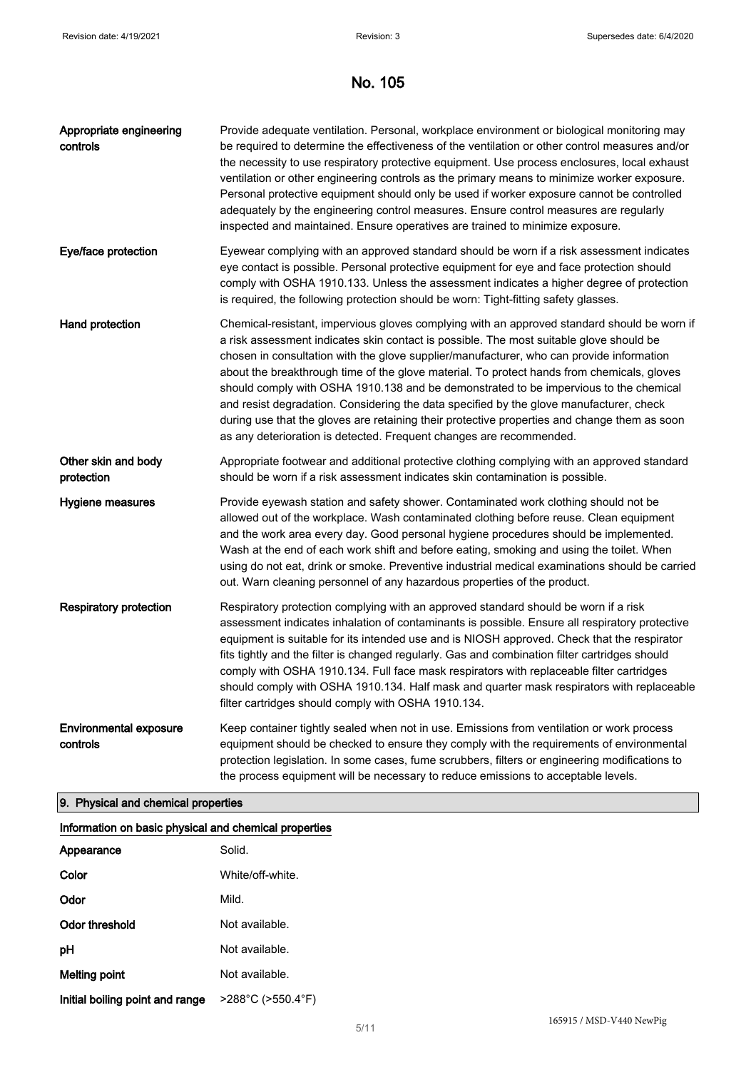| Appropriate engineering<br>controls       | Provide adequate ventilation. Personal, workplace environment or biological monitoring may<br>be required to determine the effectiveness of the ventilation or other control measures and/or<br>the necessity to use respiratory protective equipment. Use process enclosures, local exhaust<br>ventilation or other engineering controls as the primary means to minimize worker exposure.<br>Personal protective equipment should only be used if worker exposure cannot be controlled<br>adequately by the engineering control measures. Ensure control measures are regularly<br>inspected and maintained. Ensure operatives are trained to minimize exposure.                                                                          |
|-------------------------------------------|---------------------------------------------------------------------------------------------------------------------------------------------------------------------------------------------------------------------------------------------------------------------------------------------------------------------------------------------------------------------------------------------------------------------------------------------------------------------------------------------------------------------------------------------------------------------------------------------------------------------------------------------------------------------------------------------------------------------------------------------|
| Eye/face protection                       | Eyewear complying with an approved standard should be worn if a risk assessment indicates<br>eye contact is possible. Personal protective equipment for eye and face protection should<br>comply with OSHA 1910.133. Unless the assessment indicates a higher degree of protection<br>is required, the following protection should be worn: Tight-fitting safety glasses.                                                                                                                                                                                                                                                                                                                                                                   |
| Hand protection                           | Chemical-resistant, impervious gloves complying with an approved standard should be worn if<br>a risk assessment indicates skin contact is possible. The most suitable glove should be<br>chosen in consultation with the glove supplier/manufacturer, who can provide information<br>about the breakthrough time of the glove material. To protect hands from chemicals, gloves<br>should comply with OSHA 1910.138 and be demonstrated to be impervious to the chemical<br>and resist degradation. Considering the data specified by the glove manufacturer, check<br>during use that the gloves are retaining their protective properties and change them as soon<br>as any deterioration is detected. Frequent changes are recommended. |
| Other skin and body<br>protection         | Appropriate footwear and additional protective clothing complying with an approved standard<br>should be worn if a risk assessment indicates skin contamination is possible.                                                                                                                                                                                                                                                                                                                                                                                                                                                                                                                                                                |
| Hygiene measures                          | Provide eyewash station and safety shower. Contaminated work clothing should not be<br>allowed out of the workplace. Wash contaminated clothing before reuse. Clean equipment<br>and the work area every day. Good personal hygiene procedures should be implemented.<br>Wash at the end of each work shift and before eating, smoking and using the toilet. When<br>using do not eat, drink or smoke. Preventive industrial medical examinations should be carried<br>out. Warn cleaning personnel of any hazardous properties of the product.                                                                                                                                                                                             |
| <b>Respiratory protection</b>             | Respiratory protection complying with an approved standard should be worn if a risk<br>assessment indicates inhalation of contaminants is possible. Ensure all respiratory protective<br>equipment is suitable for its intended use and is NIOSH approved. Check that the respirator<br>fits tightly and the filter is changed regularly. Gas and combination filter cartridges should<br>comply with OSHA 1910.134. Full face mask respirators with replaceable filter cartridges<br>should comply with OSHA 1910.134. Half mask and quarter mask respirators with replaceable<br>filter cartridges should comply with OSHA 1910.134.                                                                                                      |
| <b>Environmental exposure</b><br>controls | Keep container tightly sealed when not in use. Emissions from ventilation or work process<br>equipment should be checked to ensure they comply with the requirements of environmental<br>protection legislation. In some cases, fume scrubbers, filters or engineering modifications to<br>the process equipment will be necessary to reduce emissions to acceptable levels.                                                                                                                                                                                                                                                                                                                                                                |

# 9. Physical and chemical properties

| Information on basic physical and chemical properties |                                        |
|-------------------------------------------------------|----------------------------------------|
| Appearance                                            | Solid.                                 |
| Color                                                 | White/off-white                        |
| Odor                                                  | Mild.                                  |
| Odor threshold                                        | Not available.                         |
| рH                                                    | Not available.                         |
| Melting point                                         | Not available.                         |
| Initial boiling point and range                       | $>288^{\circ}$ C ( $>550.4^{\circ}$ F) |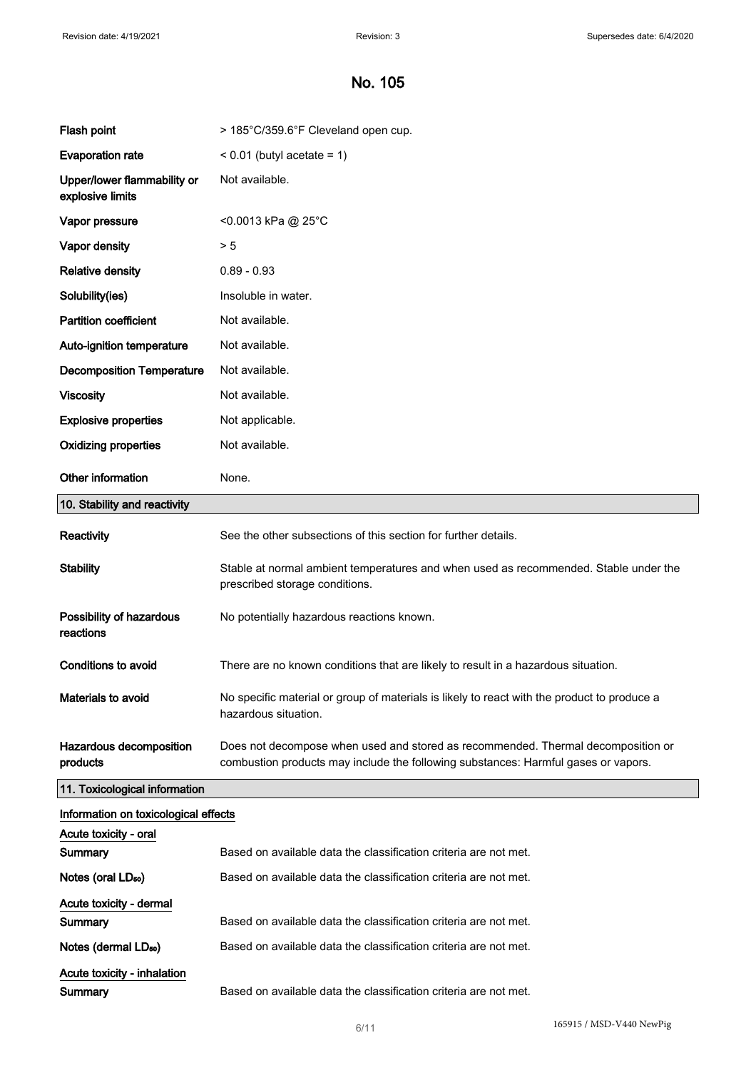| Flash point                                     | > 185°C/359.6°F Cleveland open cup.                                                                                                                                    |
|-------------------------------------------------|------------------------------------------------------------------------------------------------------------------------------------------------------------------------|
| <b>Evaporation rate</b>                         | $< 0.01$ (butyl acetate = 1)                                                                                                                                           |
| Upper/lower flammability or<br>explosive limits | Not available.                                                                                                                                                         |
| Vapor pressure                                  | <0.0013 kPa @ 25°C                                                                                                                                                     |
| Vapor density                                   | > 5                                                                                                                                                                    |
| <b>Relative density</b>                         | $0.89 - 0.93$                                                                                                                                                          |
| Solubility(ies)                                 | Insoluble in water.                                                                                                                                                    |
| <b>Partition coefficient</b>                    | Not available.                                                                                                                                                         |
| Auto-ignition temperature                       | Not available.                                                                                                                                                         |
| <b>Decomposition Temperature</b>                | Not available.                                                                                                                                                         |
| <b>Viscosity</b>                                | Not available.                                                                                                                                                         |
| <b>Explosive properties</b>                     | Not applicable.                                                                                                                                                        |
| <b>Oxidizing properties</b>                     | Not available.                                                                                                                                                         |
| Other information                               | None.                                                                                                                                                                  |
| 10. Stability and reactivity                    |                                                                                                                                                                        |
| Reactivity                                      | See the other subsections of this section for further details.                                                                                                         |
| <b>Stability</b>                                | Stable at normal ambient temperatures and when used as recommended. Stable under the<br>prescribed storage conditions.                                                 |
| Possibility of hazardous<br>reactions           | No potentially hazardous reactions known.                                                                                                                              |
| <b>Conditions to avoid</b>                      | There are no known conditions that are likely to result in a hazardous situation.                                                                                      |
| Materials to avoid                              | No specific material or group of materials is likely to react with the product to produce a<br>hazardous situation.                                                    |
| Hazardous decomposition<br>products             | Does not decompose when used and stored as recommended. Thermal decomposition or<br>combustion products may include the following substances: Harmful gases or vapors. |
| 11. Toxicological information                   |                                                                                                                                                                        |
| Information on toxicological effects            |                                                                                                                                                                        |
| Acute toxicity - oral                           |                                                                                                                                                                        |
| Summary                                         | Based on available data the classification criteria are not met.                                                                                                       |
| Notes (oral LD <sub>50</sub> )                  | Based on available data the classification criteria are not met.                                                                                                       |
| Acute toxicity - dermal<br>Summary              | Based on available data the classification criteria are not met.                                                                                                       |
|                                                 | Based on available data the classification criteria are not met.                                                                                                       |
| Notes (dermal LD <sub>50</sub> )                |                                                                                                                                                                        |
| Acute toxicity - inhalation<br><b>Summary</b>   | Based on available data the classification criteria are not met.                                                                                                       |
|                                                 |                                                                                                                                                                        |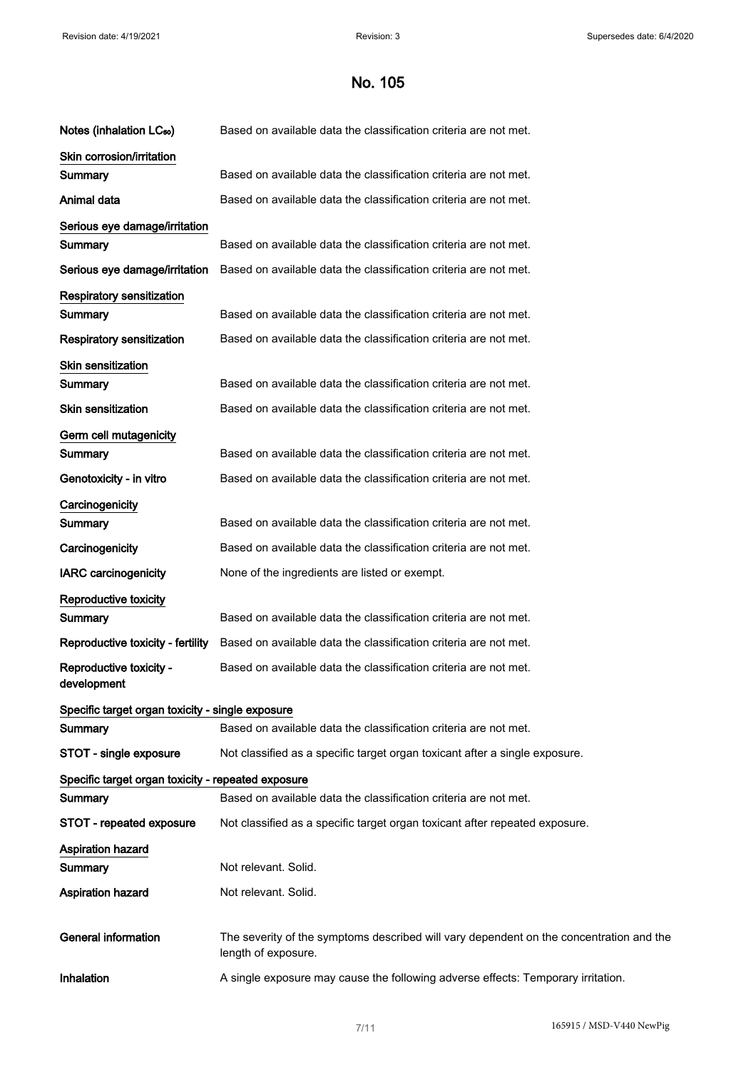| Notes (inhalation LC <sub>50</sub> )               | Based on available data the classification criteria are not met.                                               |
|----------------------------------------------------|----------------------------------------------------------------------------------------------------------------|
| Skin corrosion/irritation                          |                                                                                                                |
| Summary                                            | Based on available data the classification criteria are not met.                                               |
| Animal data                                        | Based on available data the classification criteria are not met.                                               |
| Serious eye damage/irritation                      |                                                                                                                |
| Summary                                            | Based on available data the classification criteria are not met.                                               |
| Serious eye damage/irritation                      | Based on available data the classification criteria are not met.                                               |
| <b>Respiratory sensitization</b>                   |                                                                                                                |
| Summary                                            | Based on available data the classification criteria are not met.                                               |
| <b>Respiratory sensitization</b>                   | Based on available data the classification criteria are not met.                                               |
| <b>Skin sensitization</b>                          |                                                                                                                |
| Summary                                            | Based on available data the classification criteria are not met.                                               |
| <b>Skin sensitization</b>                          | Based on available data the classification criteria are not met.                                               |
| Germ cell mutagenicity                             |                                                                                                                |
| Summary                                            | Based on available data the classification criteria are not met.                                               |
| Genotoxicity - in vitro                            | Based on available data the classification criteria are not met.                                               |
| Carcinogenicity                                    |                                                                                                                |
| Summary                                            | Based on available data the classification criteria are not met.                                               |
| Carcinogenicity                                    | Based on available data the classification criteria are not met.                                               |
| <b>IARC carcinogenicity</b>                        | None of the ingredients are listed or exempt.                                                                  |
| <b>Reproductive toxicity</b>                       |                                                                                                                |
| Summary                                            | Based on available data the classification criteria are not met.                                               |
| Reproductive toxicity - fertility                  | Based on available data the classification criteria are not met.                                               |
| Reproductive toxicity -<br>development             | Based on available data the classification criteria are not met.                                               |
| Specific target organ toxicity - single exposure   |                                                                                                                |
| Summary                                            | Based on available data the classification criteria are not met.                                               |
| STOT - single exposure                             | Not classified as a specific target organ toxicant after a single exposure.                                    |
| Specific target organ toxicity - repeated exposure |                                                                                                                |
| Summary                                            | Based on available data the classification criteria are not met.                                               |
| STOT - repeated exposure                           | Not classified as a specific target organ toxicant after repeated exposure.                                    |
| <b>Aspiration hazard</b>                           |                                                                                                                |
| Summary                                            | Not relevant. Solid.                                                                                           |
| <b>Aspiration hazard</b>                           | Not relevant. Solid.                                                                                           |
| <b>General information</b>                         | The severity of the symptoms described will vary dependent on the concentration and the<br>length of exposure. |
| Inhalation                                         | A single exposure may cause the following adverse effects: Temporary irritation.                               |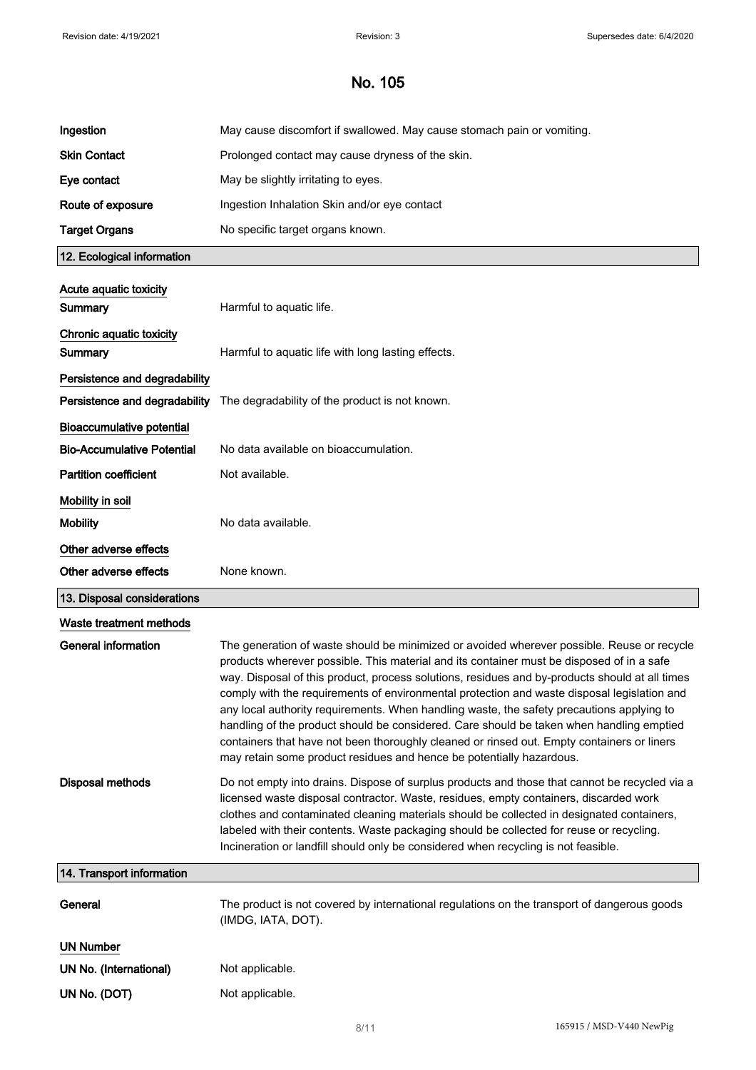| Ingestion                         | May cause discomfort if swallowed. May cause stomach pain or vomiting.                                                                                                                                                                                                                                                                                                                                                                                                                                                                                                                                                                                                                                                                                  |
|-----------------------------------|---------------------------------------------------------------------------------------------------------------------------------------------------------------------------------------------------------------------------------------------------------------------------------------------------------------------------------------------------------------------------------------------------------------------------------------------------------------------------------------------------------------------------------------------------------------------------------------------------------------------------------------------------------------------------------------------------------------------------------------------------------|
| <b>Skin Contact</b>               | Prolonged contact may cause dryness of the skin.                                                                                                                                                                                                                                                                                                                                                                                                                                                                                                                                                                                                                                                                                                        |
| Eye contact                       | May be slightly irritating to eyes.                                                                                                                                                                                                                                                                                                                                                                                                                                                                                                                                                                                                                                                                                                                     |
| Route of exposure                 | Ingestion Inhalation Skin and/or eye contact                                                                                                                                                                                                                                                                                                                                                                                                                                                                                                                                                                                                                                                                                                            |
| <b>Target Organs</b>              | No specific target organs known.                                                                                                                                                                                                                                                                                                                                                                                                                                                                                                                                                                                                                                                                                                                        |
| 12. Ecological information        |                                                                                                                                                                                                                                                                                                                                                                                                                                                                                                                                                                                                                                                                                                                                                         |
| Acute aquatic toxicity            |                                                                                                                                                                                                                                                                                                                                                                                                                                                                                                                                                                                                                                                                                                                                                         |
| <b>Summary</b>                    | Harmful to aquatic life.                                                                                                                                                                                                                                                                                                                                                                                                                                                                                                                                                                                                                                                                                                                                |
| Chronic aquatic toxicity          |                                                                                                                                                                                                                                                                                                                                                                                                                                                                                                                                                                                                                                                                                                                                                         |
| Summary                           | Harmful to aquatic life with long lasting effects.                                                                                                                                                                                                                                                                                                                                                                                                                                                                                                                                                                                                                                                                                                      |
| Persistence and degradability     |                                                                                                                                                                                                                                                                                                                                                                                                                                                                                                                                                                                                                                                                                                                                                         |
| Persistence and degradability     | The degradability of the product is not known.                                                                                                                                                                                                                                                                                                                                                                                                                                                                                                                                                                                                                                                                                                          |
| <b>Bioaccumulative potential</b>  |                                                                                                                                                                                                                                                                                                                                                                                                                                                                                                                                                                                                                                                                                                                                                         |
| <b>Bio-Accumulative Potential</b> | No data available on bioaccumulation.                                                                                                                                                                                                                                                                                                                                                                                                                                                                                                                                                                                                                                                                                                                   |
| <b>Partition coefficient</b>      | Not available.                                                                                                                                                                                                                                                                                                                                                                                                                                                                                                                                                                                                                                                                                                                                          |
| Mobility in soil                  |                                                                                                                                                                                                                                                                                                                                                                                                                                                                                                                                                                                                                                                                                                                                                         |
| <b>Mobility</b>                   | No data available.                                                                                                                                                                                                                                                                                                                                                                                                                                                                                                                                                                                                                                                                                                                                      |
| Other adverse effects             |                                                                                                                                                                                                                                                                                                                                                                                                                                                                                                                                                                                                                                                                                                                                                         |
|                                   |                                                                                                                                                                                                                                                                                                                                                                                                                                                                                                                                                                                                                                                                                                                                                         |
| Other adverse effects             | None known.                                                                                                                                                                                                                                                                                                                                                                                                                                                                                                                                                                                                                                                                                                                                             |
| 13. Disposal considerations       |                                                                                                                                                                                                                                                                                                                                                                                                                                                                                                                                                                                                                                                                                                                                                         |
| Waste treatment methods           |                                                                                                                                                                                                                                                                                                                                                                                                                                                                                                                                                                                                                                                                                                                                                         |
| <b>General information</b>        | The generation of waste should be minimized or avoided wherever possible. Reuse or recycle<br>products wherever possible. This material and its container must be disposed of in a safe<br>way. Disposal of this product, process solutions, residues and by-products should at all times<br>comply with the requirements of environmental protection and waste disposal legislation and<br>any local authority requirements. When handling waste, the safety precautions applying to<br>handling of the product should be considered. Care should be taken when handling emptied<br>containers that have not been thoroughly cleaned or rinsed out. Empty containers or liners<br>may retain some product residues and hence be potentially hazardous. |
| <b>Disposal methods</b>           | Do not empty into drains. Dispose of surplus products and those that cannot be recycled via a<br>licensed waste disposal contractor. Waste, residues, empty containers, discarded work<br>clothes and contaminated cleaning materials should be collected in designated containers,<br>labeled with their contents. Waste packaging should be collected for reuse or recycling.<br>Incineration or landfill should only be considered when recycling is not feasible.                                                                                                                                                                                                                                                                                   |
| 14. Transport information         |                                                                                                                                                                                                                                                                                                                                                                                                                                                                                                                                                                                                                                                                                                                                                         |
| General                           | The product is not covered by international regulations on the transport of dangerous goods<br>(IMDG, IATA, DOT).                                                                                                                                                                                                                                                                                                                                                                                                                                                                                                                                                                                                                                       |
| <b>UN Number</b>                  |                                                                                                                                                                                                                                                                                                                                                                                                                                                                                                                                                                                                                                                                                                                                                         |
| UN No. (International)            | Not applicable.                                                                                                                                                                                                                                                                                                                                                                                                                                                                                                                                                                                                                                                                                                                                         |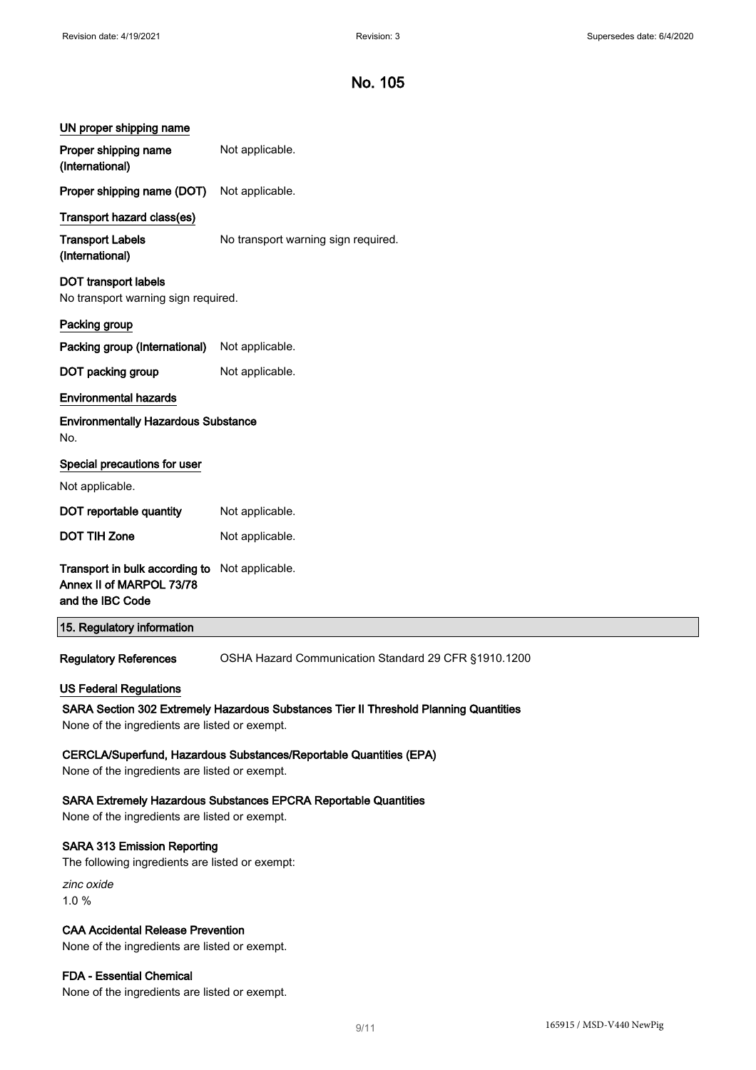| UN proper shipping name                                                                                                                                                 |                                                      |  |
|-------------------------------------------------------------------------------------------------------------------------------------------------------------------------|------------------------------------------------------|--|
| Proper shipping name<br>(International)                                                                                                                                 | Not applicable.                                      |  |
| Proper shipping name (DOT)                                                                                                                                              | Not applicable.                                      |  |
| Transport hazard class(es)                                                                                                                                              |                                                      |  |
| <b>Transport Labels</b><br>(International)                                                                                                                              | No transport warning sign required.                  |  |
| <b>DOT transport labels</b><br>No transport warning sign required.                                                                                                      |                                                      |  |
| Packing group                                                                                                                                                           |                                                      |  |
| Packing group (International)                                                                                                                                           | Not applicable.                                      |  |
| DOT packing group                                                                                                                                                       | Not applicable.                                      |  |
| <b>Environmental hazards</b>                                                                                                                                            |                                                      |  |
| <b>Environmentally Hazardous Substance</b><br>No.                                                                                                                       |                                                      |  |
| Special precautions for user                                                                                                                                            |                                                      |  |
| Not applicable.                                                                                                                                                         |                                                      |  |
| DOT reportable quantity                                                                                                                                                 | Not applicable.                                      |  |
| <b>DOT TIH Zone</b>                                                                                                                                                     | Not applicable.                                      |  |
| Transport in bulk according to<br>Annex II of MARPOL 73/78<br>and the IBC Code                                                                                          | Not applicable.                                      |  |
| 15. Regulatory information                                                                                                                                              |                                                      |  |
| <b>Regulatory References</b>                                                                                                                                            | OSHA Hazard Communication Standard 29 CFR §1910.1200 |  |
| <b>US Federal Regulations</b><br>SARA Section 302 Extremely Hazardous Substances Tier II Threshold Planning Quantities<br>None of the ingredients are listed or exempt. |                                                      |  |
| CERCLA/Superfund, Hazardous Substances/Reportable Quantities (EPA)<br>None of the ingredients are listed or exempt.                                                     |                                                      |  |
| <b>SARA Extremely Hazardous Substances EPCRA Reportable Quantities</b><br>None of the ingredients are listed or exempt.                                                 |                                                      |  |
| <b>SARA 313 Emission Reporting</b><br>The following ingredients are listed or exempt:                                                                                   |                                                      |  |
| zinc oxide<br>1.0%                                                                                                                                                      |                                                      |  |
| <b>CAA Accidental Release Prevention</b>                                                                                                                                |                                                      |  |

None of the ingredients are listed or exempt.

## FDA - Essential Chemical

None of the ingredients are listed or exempt.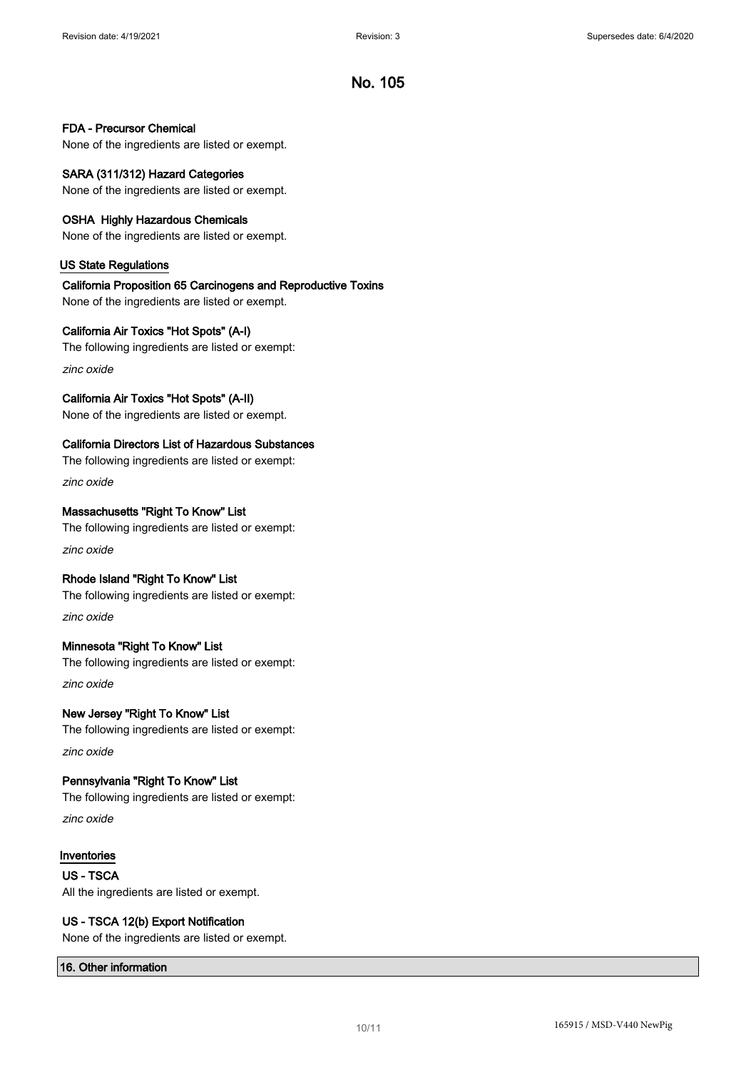#### FDA - Precursor Chemical

None of the ingredients are listed or exempt.

## SARA (311/312) Hazard Categories

None of the ingredients are listed or exempt.

#### OSHA Highly Hazardous Chemicals

None of the ingredients are listed or exempt.

#### US State Regulations

## California Proposition 65 Carcinogens and Reproductive Toxins

None of the ingredients are listed or exempt.

### California Air Toxics "Hot Spots" (A-I)

The following ingredients are listed or exempt:

zinc oxide

## California Air Toxics "Hot Spots" (A-II)

None of the ingredients are listed or exempt.

## California Directors List of Hazardous Substances

The following ingredients are listed or exempt: zinc oxide

### Massachusetts "Right To Know" List

The following ingredients are listed or exempt: zinc oxide

### Rhode Island "Right To Know" List

The following ingredients are listed or exempt: zinc oxide

## Minnesota "Right To Know" List

The following ingredients are listed or exempt: zinc oxide

# New Jersey "Right To Know" List The following ingredients are listed or exempt:

zinc oxide

## Pennsylvania "Right To Know" List

The following ingredients are listed or exempt:

zinc oxide

### Inventories

US - TSCA All the ingredients are listed or exempt.

### US - TSCA 12(b) Export Notification

None of the ingredients are listed or exempt.

### 16. Other information